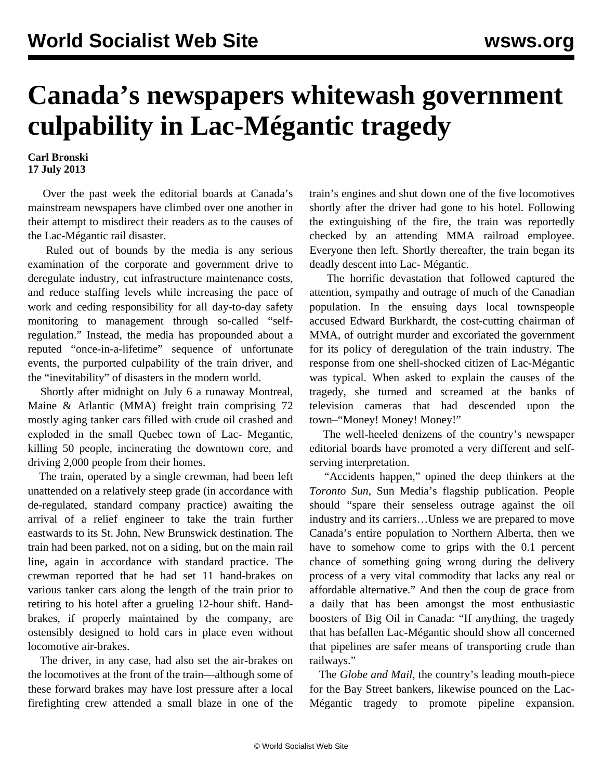## **Canada's newspapers whitewash government culpability in Lac-Mégantic tragedy**

**Carl Bronski 17 July 2013**

 Over the past week the editorial boards at Canada's mainstream newspapers have climbed over one another in their attempt to misdirect their readers as to the causes of the Lac-Mégantic rail disaster.

 Ruled out of bounds by the media is any serious examination of the corporate and government drive to deregulate industry, cut infrastructure maintenance costs, and reduce staffing levels while increasing the pace of work and ceding responsibility for all day-to-day safety monitoring to management through so-called "selfregulation." Instead, the media has propounded about a reputed "once-in-a-lifetime" sequence of unfortunate events, the purported culpability of the train driver, and the "inevitability" of disasters in the modern world.

 Shortly after midnight on July 6 a runaway Montreal, Maine & Atlantic (MMA) freight train comprising 72 mostly aging tanker cars filled with crude oil crashed and exploded in the small Quebec town of Lac- Megantic, killing 50 people, incinerating the downtown core, and driving 2,000 people from their homes.

 The train, operated by a single crewman, had been left unattended on a relatively steep grade (in accordance with de-regulated, standard company practice) awaiting the arrival of a relief engineer to take the train further eastwards to its St. John, New Brunswick destination. The train had been parked, not on a siding, but on the main rail line, again in accordance with standard practice. The crewman reported that he had set 11 hand-brakes on various tanker cars along the length of the train prior to retiring to his hotel after a grueling 12-hour shift. Handbrakes, if properly maintained by the company, are ostensibly designed to hold cars in place even without locomotive air-brakes.

 The driver, in any case, had also set the air-brakes on the locomotives at the front of the train—although some of these forward brakes may have lost pressure after a local firefighting crew attended a small blaze in one of the

train's engines and shut down one of the five locomotives shortly after the driver had gone to his hotel. Following the extinguishing of the fire, the train was reportedly checked by an attending MMA railroad employee. Everyone then left. Shortly thereafter, the train began its deadly descent into Lac- Mégantic.

 The horrific devastation that followed captured the attention, sympathy and outrage of much of the Canadian population. In the ensuing days local townspeople accused Edward Burkhardt, the cost-cutting chairman of MMA, of outright murder and excoriated the government for its policy of deregulation of the train industry. The response from one shell-shocked citizen of Lac-Mégantic was typical. When asked to explain the causes of the tragedy, she turned and screamed at the banks of television cameras that had descended upon the town–"Money! Money! Money!"

 The well-heeled denizens of the country's newspaper editorial boards have promoted a very different and selfserving interpretation.

 "Accidents happen," opined the deep thinkers at the *Toronto Sun*, Sun Media's flagship publication. People should "spare their senseless outrage against the oil industry and its carriers…Unless we are prepared to move Canada's entire population to Northern Alberta, then we have to somehow come to grips with the 0.1 percent chance of something going wrong during the delivery process of a very vital commodity that lacks any real or affordable alternative." And then the coup de grace from a daily that has been amongst the most enthusiastic boosters of Big Oil in Canada: "If anything, the tragedy that has befallen Lac-Mégantic should show all concerned that pipelines are safer means of transporting crude than railways."

 The *Globe and Mail*, the country's leading mouth-piece for the Bay Street bankers, likewise pounced on the Lac-Mégantic tragedy to promote pipeline expansion.